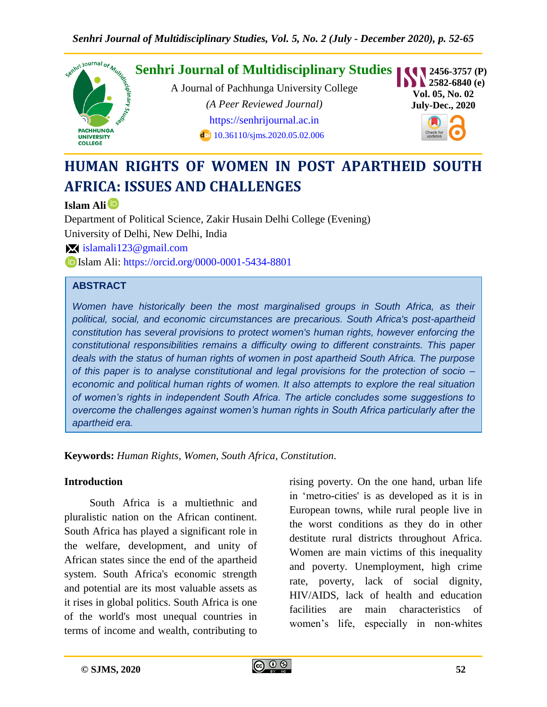

# **HUMAN RIGHTS OF WOMEN IN POST APARTHEID SOUTH AFRICA: ISSUES AND CHALLENGES**

#### **Islam Ali**

Department of Political Science, Zakir Husain Delhi College (Evening) University of Delhi, New Delhi, India [islamali123@gmail.com](mailto:%20islamali123@gmail.com) Islam Ali:<https://orcid.org/0000-0001-5434-8801>

#### **ABSTRACT**

*Women have historically been the most marginalised groups in South Africa, as their political, social, and economic circumstances are precarious. South Africa's post-apartheid constitution has several provisions to protect women's human rights, however enforcing the constitutional responsibilities remains a difficulty owing to different constraints. This paper deals with the status of human rights of women in post apartheid South Africa. The purpose of this paper is to analyse constitutional and legal provisions for the protection of socio – economic and political human rights of women. It also attempts to explore the real situation of women's rights in independent South Africa. The article concludes some suggestions to overcome the challenges against women's human rights in South Africa particularly after the apartheid era.*

**Keywords:** *Human Rights, Women, South Africa, Constitution.*

#### **Introduction**

South Africa is a multiethnic and pluralistic nation on the African continent. South Africa has played a significant role in the welfare, development, and unity of African states since the end of the apartheid system. South Africa's economic strength and potential are its most valuable assets as it rises in global politics. South Africa is one of the world's most unequal countries in terms of income and wealth, contributing to

rising poverty. On the one hand, urban life in 'metro-cities' is as developed as it is in European towns, while rural people live in the worst conditions as they do in other destitute rural districts throughout Africa. Women are main victims of this inequality and poverty. Unemployment, high crime rate, poverty, lack of social dignity, HIV/AIDS, lack of health and education facilities are main characteristics of women's life, especially in non-whites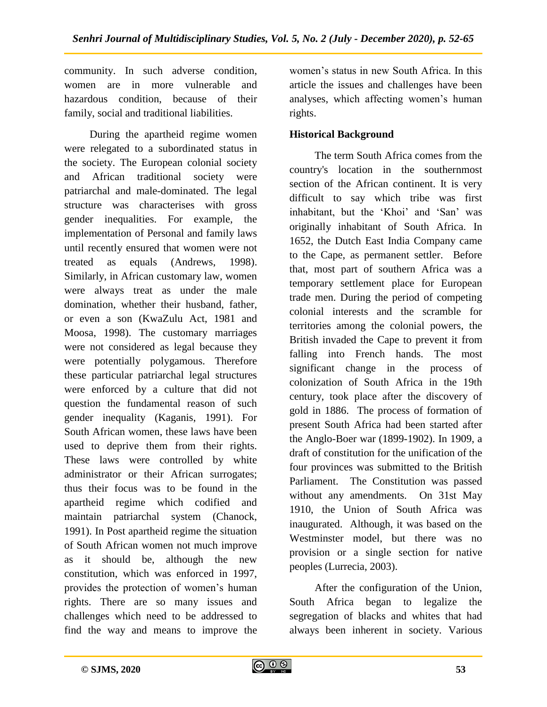community. In such adverse condition, women are in more vulnerable and hazardous condition, because of their family, social and traditional liabilities.

During the apartheid regime women were relegated to a subordinated status in the society. The European colonial society and African traditional society were patriarchal and male-dominated. The legal structure was characterises with gross gender inequalities. For example, the implementation of Personal and family laws until recently ensured that women were not treated as equals (Andrews, 1998). Similarly, in African customary law, women were always treat as under the male domination, whether their husband, father, or even a son (KwaZulu Act, 1981 and Moosa, 1998). The customary marriages were not considered as legal because they were potentially polygamous. Therefore these particular patriarchal legal structures were enforced by a culture that did not question the fundamental reason of such gender inequality (Kaganis, 1991). For South African women, these laws have been used to deprive them from their rights. These laws were controlled by white administrator or their African surrogates; thus their focus was to be found in the apartheid regime which codified and maintain patriarchal system (Chanock, 1991). In Post apartheid regime the situation of South African women not much improve as it should be, although the new constitution, which was enforced in 1997, provides the protection of women's human rights. There are so many issues and challenges which need to be addressed to find the way and means to improve the

women's status in new South Africa. In this article the issues and challenges have been analyses, which affecting women's human rights.

#### **Historical Background**

The term South Africa comes from the country's location in the southernmost section of the African continent. It is very difficult to say which tribe was first inhabitant, but the 'Khoi' and 'San' was originally inhabitant of South Africa. In 1652, the Dutch East India Company came to the Cape, as permanent settler. Before that, most part of southern Africa was a temporary settlement place for European trade men. During the period of competing colonial interests and the scramble for territories among the colonial powers, the British invaded the Cape to prevent it from falling into French hands. The most significant change in the process of colonization of South Africa in the 19th century, took place after the discovery of gold in 1886. The process of formation of present South Africa had been started after the Anglo-Boer war (1899-1902). In 1909, a draft of constitution for the unification of the four provinces was submitted to the British Parliament. The Constitution was passed without any amendments. On 31st May 1910, the Union of South Africa was inaugurated. Although, it was based on the Westminster model, but there was no provision or a single section for native peoples (Lurrecia, 2003).

After the configuration of the Union, South Africa began to legalize the segregation of blacks and whites that had always been inherent in society. Various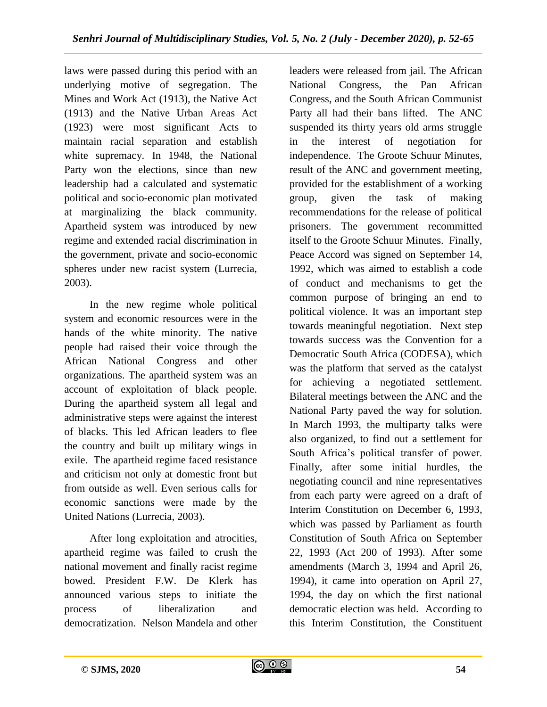laws were passed during this period with an underlying motive of segregation. The Mines and Work Act (1913), the Native Act (1913) and the Native Urban Areas Act (1923) were most significant Acts to maintain racial separation and establish white supremacy. In 1948, the National Party won the elections, since than new leadership had a calculated and systematic political and socio-economic plan motivated at marginalizing the black community. Apartheid system was introduced by new regime and extended racial discrimination in the government, private and socio-economic spheres under new racist system (Lurrecia, 2003).

In the new regime whole political system and economic resources were in the hands of the white minority. The native people had raised their voice through the African National Congress and other organizations. The apartheid system was an account of exploitation of black people. During the apartheid system all legal and administrative steps were against the interest of blacks. This led African leaders to flee the country and built up military wings in exile. The apartheid regime faced resistance and criticism not only at domestic front but from outside as well. Even serious calls for economic sanctions were made by the United Nations (Lurrecia, 2003).

After long exploitation and atrocities, apartheid regime was failed to crush the national movement and finally racist regime bowed. President F.W. De Klerk has announced various steps to initiate the process of liberalization and democratization. Nelson Mandela and other

leaders were released from jail. The African National Congress, the Pan African Congress, and the South African Communist Party all had their bans lifted. The ANC suspended its thirty years old arms struggle in the interest of negotiation for independence. The Groote Schuur Minutes, result of the ANC and government meeting, provided for the establishment of a working group, given the task of making recommendations for the release of political prisoners. The government recommitted itself to the Groote Schuur Minutes. Finally, Peace Accord was signed on September 14, 1992, which was aimed to establish a code of conduct and mechanisms to get the common purpose of bringing an end to political violence. It was an important step towards meaningful negotiation. Next step towards success was the Convention for a Democratic South Africa (CODESA), which was the platform that served as the catalyst for achieving a negotiated settlement. Bilateral meetings between the ANC and the National Party paved the way for solution. In March 1993, the multiparty talks were also organized, to find out a settlement for South Africa's political transfer of power. Finally, after some initial hurdles, the negotiating council and nine representatives from each party were agreed on a draft of Interim Constitution on December 6, 1993, which was passed by Parliament as fourth Constitution of South Africa on September 22, 1993 (Act 200 of 1993). After some amendments (March 3, 1994 and April 26, 1994), it came into operation on April 27, 1994, the day on which the first national democratic election was held. According to this Interim Constitution, the Constituent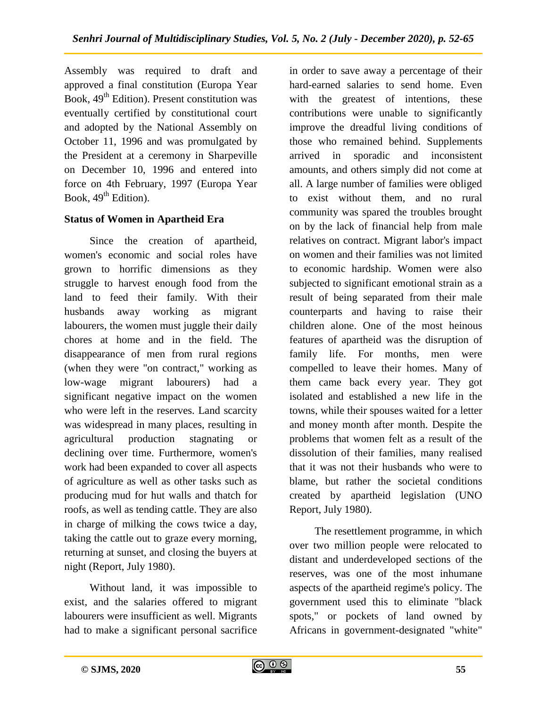Assembly was required to draft and approved a final constitution (Europa Year Book,  $49<sup>th</sup>$  Edition). Present constitution was eventually certified by constitutional court and adopted by the National Assembly on October 11, 1996 and was promulgated by the President at a ceremony in Sharpeville on December 10, 1996 and entered into force on 4th February, 1997 (Europa Year Book,  $49<sup>th</sup>$  Edition).

## **Status of Women in Apartheid Era**

Since the creation of apartheid, women's economic and social roles have grown to horrific dimensions as they struggle to harvest enough food from the land to feed their family. With their husbands away working as migrant labourers, the women must juggle their daily chores at home and in the field. The disappearance of men from rural regions (when they were "on contract," working as low-wage migrant labourers) had a significant negative impact on the women who were left in the reserves. Land scarcity was widespread in many places, resulting in agricultural production stagnating or declining over time. Furthermore, women's work had been expanded to cover all aspects of agriculture as well as other tasks such as producing mud for hut walls and thatch for roofs, as well as tending cattle. They are also in charge of milking the cows twice a day, taking the cattle out to graze every morning, returning at sunset, and closing the buyers at night (Report, July 1980).

Without land, it was impossible to exist, and the salaries offered to migrant labourers were insufficient as well. Migrants had to make a significant personal sacrifice in order to save away a percentage of their hard-earned salaries to send home. Even with the greatest of intentions, these contributions were unable to significantly improve the dreadful living conditions of those who remained behind. Supplements arrived in sporadic and inconsistent amounts, and others simply did not come at all. A large number of families were obliged to exist without them, and no rural community was spared the troubles brought on by the lack of financial help from male relatives on contract. Migrant labor's impact on women and their families was not limited to economic hardship. Women were also subjected to significant emotional strain as a result of being separated from their male counterparts and having to raise their children alone. One of the most heinous features of apartheid was the disruption of family life. For months, men were compelled to leave their homes. Many of them came back every year. They got isolated and established a new life in the towns, while their spouses waited for a letter and money month after month. Despite the problems that women felt as a result of the dissolution of their families, many realised that it was not their husbands who were to blame, but rather the societal conditions created by apartheid legislation (UNO Report, July 1980).

The resettlement programme, in which over two million people were relocated to distant and underdeveloped sections of the reserves, was one of the most inhumane aspects of the apartheid regime's policy. The government used this to eliminate "black spots," or pockets of land owned by Africans in government-designated "white"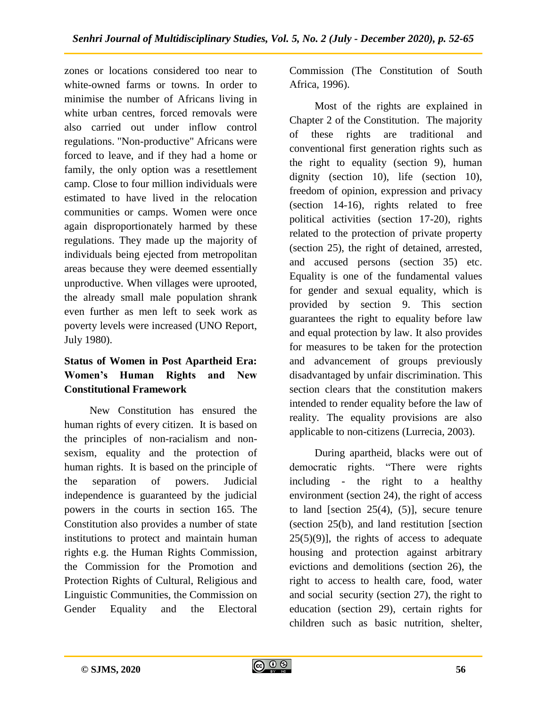zones or locations considered too near to white-owned farms or towns. In order to minimise the number of Africans living in white urban centres, forced removals were also carried out under inflow control regulations. "Non-productive" Africans were forced to leave, and if they had a home or family, the only option was a resettlement camp. Close to four million individuals were estimated to have lived in the relocation communities or camps. Women were once again disproportionately harmed by these regulations. They made up the majority of individuals being ejected from metropolitan areas because they were deemed essentially unproductive. When villages were uprooted, the already small male population shrank even further as men left to seek work as poverty levels were increased (UNO Report, July 1980).

## **Status of Women in Post Apartheid Era: Women's Human Rights and New Constitutional Framework**

New Constitution has ensured the human rights of every citizen. It is based on the principles of non-racialism and nonsexism, equality and the protection of human rights. It is based on the principle of the separation of powers. Judicial independence is guaranteed by the judicial powers in the courts in section 165. The Constitution also provides a number of state institutions to protect and maintain human rights e.g. the Human Rights Commission, the Commission for the Promotion and Protection Rights of Cultural, Religious and Linguistic Communities, the Commission on Gender Equality and the Electoral

Commission (The Constitution of South Africa, 1996).

Most of the rights are explained in Chapter 2 of the Constitution. The majority of these rights are traditional and conventional first generation rights such as the right to equality (section 9), human dignity (section 10), life (section 10), freedom of opinion, expression and privacy (section 14-16), rights related to free political activities (section 17-20), rights related to the protection of private property (section 25), the right of detained, arrested, and accused persons (section 35) etc. Equality is one of the fundamental values for gender and sexual equality, which is provided by section 9. This section guarantees the right to equality before law and equal protection by law. It also provides for measures to be taken for the protection and advancement of groups previously disadvantaged by unfair discrimination. This section clears that the constitution makers intended to render equality before the law of reality. The equality provisions are also applicable to non-citizens (Lurrecia, 2003).

During apartheid, blacks were out of democratic rights. "There were rights including - the right to a healthy environment (section 24), the right of access to land [section  $25(4)$ ,  $(5)$ ], secure tenure (section 25(b), and land restitution [section  $25(5)(9)$ , the rights of access to adequate housing and protection against arbitrary evictions and demolitions (section 26), the right to access to health care, food, water and social security (section 27), the right to education (section 29), certain rights for children such as basic nutrition, shelter,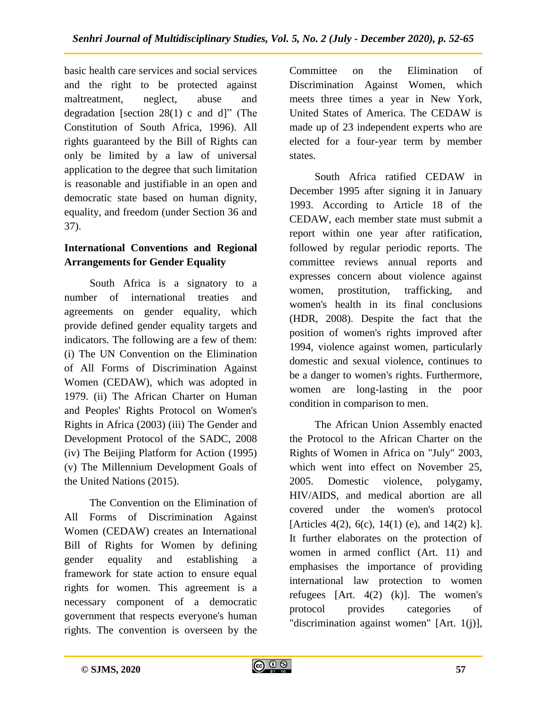basic health care services and social services and the right to be protected against maltreatment, neglect, abuse and degradation [section  $28(1)$  c and d]" (The Constitution of South Africa, 1996). All rights guaranteed by the Bill of Rights can only be limited by a law of universal application to the degree that such limitation is reasonable and justifiable in an open and democratic state based on human dignity, equality, and freedom (under Section 36 and 37).

## **International Conventions and Regional Arrangements for Gender Equality**

South Africa is a signatory to a number of international treaties and agreements on gender equality, which provide defined gender equality targets and indicators. The following are a few of them: (i) The UN Convention on the Elimination of All Forms of Discrimination Against Women (CEDAW), which was adopted in 1979. (ii) The African Charter on Human and Peoples' Rights Protocol on Women's Rights in Africa (2003) (iii) The Gender and Development Protocol of the SADC, 2008 (iv) The Beijing Platform for Action (1995) (v) The Millennium Development Goals of the United Nations (2015).

The Convention on the Elimination of All Forms of Discrimination Against Women (CEDAW) creates an International Bill of Rights for Women by defining gender equality and establishing a framework for state action to ensure equal rights for women. This agreement is a necessary component of a democratic government that respects everyone's human rights. The convention is overseen by the

Committee on the Elimination of Discrimination Against Women, which meets three times a year in New York, United States of America. The CEDAW is made up of 23 independent experts who are elected for a four-year term by member states.

South Africa ratified CEDAW in December 1995 after signing it in January 1993. According to Article 18 of the CEDAW, each member state must submit a report within one year after ratification, followed by regular periodic reports. The committee reviews annual reports and expresses concern about violence against women, prostitution, trafficking, and women's health in its final conclusions (HDR, 2008). Despite the fact that the position of women's rights improved after 1994, violence against women, particularly domestic and sexual violence, continues to be a danger to women's rights. Furthermore, women are long-lasting in the poor condition in comparison to men.

The African Union Assembly enacted the Protocol to the African Charter on the Rights of Women in Africa on "July" 2003, which went into effect on November 25, 2005. Domestic violence, polygamy, HIV/AIDS, and medical abortion are all covered under the women's protocol [Articles 4(2), 6(c), 14(1) (e), and 14(2) k]. It further elaborates on the protection of women in armed conflict (Art. 11) and emphasises the importance of providing international law protection to women refugees  $[Art. 4(2) (k)]$ . The women's protocol provides categories of "discrimination against women" [Art. 1(j)],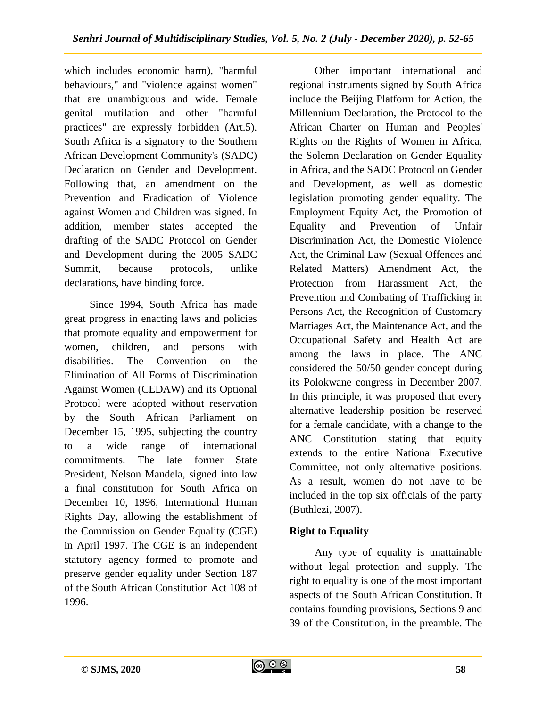which includes economic harm), "harmful behaviours," and "violence against women" that are unambiguous and wide. Female genital mutilation and other "harmful practices" are expressly forbidden (Art.5). South Africa is a signatory to the Southern African Development Community's (SADC) Declaration on Gender and Development. Following that, an amendment on the Prevention and Eradication of Violence against Women and Children was signed. In addition, member states accepted the drafting of the SADC Protocol on Gender and Development during the 2005 SADC Summit, because protocols, unlike declarations, have binding force.

Since 1994, South Africa has made great progress in enacting laws and policies that promote equality and empowerment for women, children, and persons with disabilities. The Convention on the Elimination of All Forms of Discrimination Against Women (CEDAW) and its Optional Protocol were adopted without reservation by the South African Parliament on December 15, 1995, subjecting the country to a wide range of international commitments. The late former State President, Nelson Mandela, signed into law a final constitution for South Africa on December 10, 1996, International Human Rights Day, allowing the establishment of the Commission on Gender Equality (CGE) in April 1997. The CGE is an independent statutory agency formed to promote and preserve gender equality under Section 187 of the South African Constitution Act 108 of 1996.

Other important international and regional instruments signed by South Africa include the Beijing Platform for Action, the Millennium Declaration, the Protocol to the African Charter on Human and Peoples' Rights on the Rights of Women in Africa, the Solemn Declaration on Gender Equality in Africa, and the SADC Protocol on Gender and Development, as well as domestic legislation promoting gender equality. The Employment Equity Act, the Promotion of Equality and Prevention of Unfair Discrimination Act, the Domestic Violence Act, the Criminal Law (Sexual Offences and Related Matters) Amendment Act, the Protection from Harassment Act, the Prevention and Combating of Trafficking in Persons Act, the Recognition of Customary Marriages Act, the Maintenance Act, and the Occupational Safety and Health Act are among the laws in place. The ANC considered the 50/50 gender concept during its Polokwane congress in December 2007. In this principle, it was proposed that every alternative leadership position be reserved for a female candidate, with a change to the ANC Constitution stating that equity extends to the entire National Executive Committee, not only alternative positions. As a result, women do not have to be included in the top six officials of the party (Buthlezi, 2007).

## **Right to Equality**

Any type of equality is unattainable without legal protection and supply. The right to equality is one of the most important aspects of the South African Constitution. It contains founding provisions, Sections 9 and 39 of the Constitution, in the preamble. The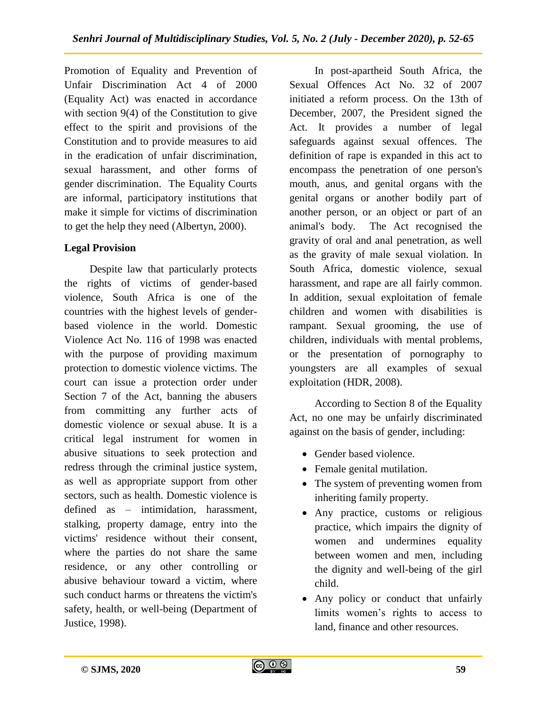Promotion of Equality and Prevention of Unfair Discrimination Act 4 of 2000 (Equality Act) was enacted in accordance with section 9(4) of the Constitution to give effect to the spirit and provisions of the Constitution and to provide measures to aid in the eradication of unfair discrimination, sexual harassment, and other forms of gender discrimination. The Equality Courts are informal, participatory institutions that make it simple for victims of discrimination to get the help they need (Albertyn, 2000).

## **Legal Provision**

Despite law that particularly protects the rights of victims of gender-based violence, South Africa is one of the countries with the highest levels of genderbased violence in the world. Domestic Violence Act No. 116 of 1998 was enacted with the purpose of providing maximum protection to domestic violence victims. The court can issue a protection order under Section 7 of the Act, banning the abusers from committing any further acts of domestic violence or sexual abuse. It is a critical legal instrument for women in abusive situations to seek protection and redress through the criminal justice system, as well as appropriate support from other sectors, such as health. Domestic violence is defined as – intimidation, harassment, stalking, property damage, entry into the victims' residence without their consent, where the parties do not share the same residence, or any other controlling or abusive behaviour toward a victim, where such conduct harms or threatens the victim's safety, health, or well-being (Department of Justice, 1998).

In post-apartheid South Africa, the Sexual Offences Act No. 32 of 2007 initiated a reform process. On the 13th of December, 2007, the President signed the Act. It provides a number of legal safeguards against sexual offences. The definition of rape is expanded in this act to encompass the penetration of one person's mouth, anus, and genital organs with the genital organs or another bodily part of another person, or an object or part of an animal's body. The Act recognised the gravity of oral and anal penetration, as well as the gravity of male sexual violation. In South Africa, domestic violence, sexual harassment, and rape are all fairly common. In addition, sexual exploitation of female children and women with disabilities is rampant. Sexual grooming, the use of children, individuals with mental problems, or the presentation of pornography to youngsters are all examples of sexual exploitation (HDR, 2008).

According to Section 8 of the Equality Act, no one may be unfairly discriminated against on the basis of gender, including:

- **Gender based violence.**
- Female genital mutilation.
- The system of preventing women from inheriting family property.
- Any practice, customs or religious practice, which impairs the dignity of women and undermines equality between women and men, including the dignity and well-being of the girl child.
- Any policy or conduct that unfairly limits women's rights to access to land, finance and other resources.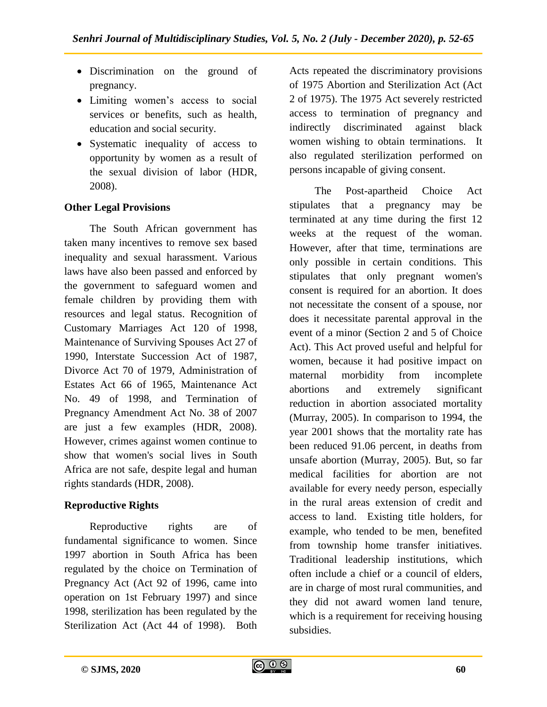- Discrimination on the ground of pregnancy.
- Limiting women's access to social services or benefits, such as health, education and social security.
- Systematic inequality of access to opportunity by women as a result of the sexual division of labor (HDR, 2008).

#### **Other Legal Provisions**

The South African government has taken many incentives to remove sex based inequality and sexual harassment. Various laws have also been passed and enforced by the government to safeguard women and female children by providing them with resources and legal status. Recognition of Customary Marriages Act 120 of 1998, Maintenance of Surviving Spouses Act 27 of 1990, Interstate Succession Act of 1987, Divorce Act 70 of 1979, Administration of Estates Act 66 of 1965, Maintenance Act No. 49 of 1998, and Termination of Pregnancy Amendment Act No. 38 of 2007 are just a few examples (HDR, 2008). However, crimes against women continue to show that women's social lives in South Africa are not safe, despite legal and human rights standards (HDR, 2008).

## **Reproductive Rights**

Reproductive rights are of fundamental significance to women. Since 1997 abortion in South Africa has been regulated by the choice on Termination of Pregnancy Act (Act 92 of 1996, came into operation on 1st February 1997) and since 1998, sterilization has been regulated by the Sterilization Act (Act 44 of 1998). Both

Acts repeated the discriminatory provisions of 1975 Abortion and Sterilization Act (Act 2 of 1975). The 1975 Act severely restricted access to termination of pregnancy and indirectly discriminated against black women wishing to obtain terminations. It also regulated sterilization performed on persons incapable of giving consent.

The Post-apartheid Choice Act stipulates that a pregnancy may be terminated at any time during the first 12 weeks at the request of the woman. However, after that time, terminations are only possible in certain conditions. This stipulates that only pregnant women's consent is required for an abortion. It does not necessitate the consent of a spouse, nor does it necessitate parental approval in the event of a minor (Section 2 and 5 of Choice Act). This Act proved useful and helpful for women, because it had positive impact on maternal morbidity from incomplete abortions and extremely significant reduction in abortion associated mortality (Murray, 2005). In comparison to 1994, the year 2001 shows that the mortality rate has been reduced 91.06 percent, in deaths from unsafe abortion (Murray, 2005). But, so far medical facilities for abortion are not available for every needy person, especially in the rural areas extension of credit and access to land. Existing title holders, for example, who tended to be men, benefited from township home transfer initiatives. Traditional leadership institutions, which often include a chief or a council of elders, are in charge of most rural communities, and they did not award women land tenure, which is a requirement for receiving housing subsidies.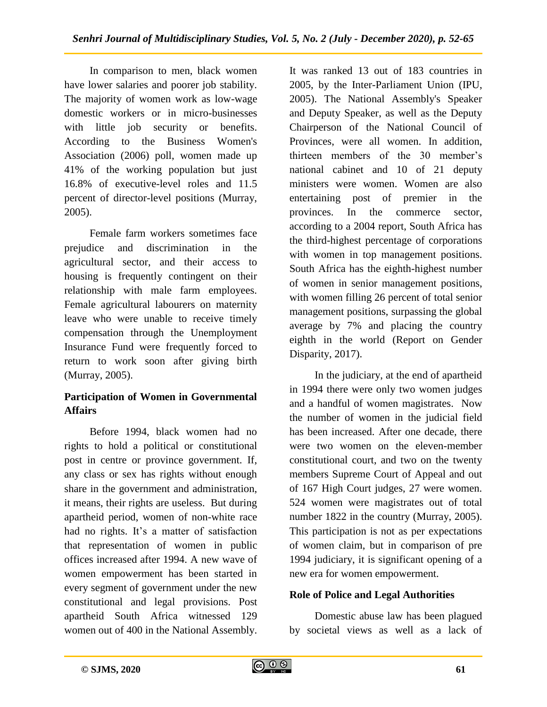In comparison to men, black women have lower salaries and poorer job stability. The majority of women work as low-wage domestic workers or in micro-businesses with little job security or benefits. According to the Business Women's Association (2006) poll, women made up 41% of the working population but just 16.8% of executive-level roles and 11.5 percent of director-level positions (Murray, 2005).

Female farm workers sometimes face prejudice and discrimination in the agricultural sector, and their access to housing is frequently contingent on their relationship with male farm employees. Female agricultural labourers on maternity leave who were unable to receive timely compensation through the Unemployment Insurance Fund were frequently forced to return to work soon after giving birth (Murray, 2005).

## **Participation of Women in Governmental Affairs**

Before 1994, black women had no rights to hold a political or constitutional post in centre or province government. If, any class or sex has rights without enough share in the government and administration, it means, their rights are useless. But during apartheid period, women of non-white race had no rights. It's a matter of satisfaction that representation of women in public offices increased after 1994. A new wave of women empowerment has been started in every segment of government under the new constitutional and legal provisions. Post apartheid South Africa witnessed 129 women out of 400 in the National Assembly.

It was ranked 13 out of 183 countries in 2005, by the Inter-Parliament Union (IPU, 2005). The National Assembly's Speaker and Deputy Speaker, as well as the Deputy Chairperson of the National Council of Provinces, were all women. In addition, thirteen members of the 30 member's national cabinet and 10 of 21 deputy ministers were women. Women are also entertaining post of premier in the provinces. In the commerce sector, according to a 2004 report, South Africa has the third-highest percentage of corporations with women in top management positions. South Africa has the eighth-highest number of women in senior management positions, with women filling 26 percent of total senior management positions, surpassing the global average by 7% and placing the country eighth in the world (Report on Gender Disparity, 2017).

In the judiciary, at the end of apartheid in 1994 there were only two women judges and a handful of women magistrates. Now the number of women in the judicial field has been increased. After one decade, there were two women on the eleven-member constitutional court, and two on the twenty members Supreme Court of Appeal and out of 167 High Court judges, 27 were women. 524 women were magistrates out of total number 1822 in the country (Murray, 2005). This participation is not as per expectations of women claim, but in comparison of pre 1994 judiciary, it is significant opening of a new era for women empowerment.

## **Role of Police and Legal Authorities**

Domestic abuse law has been plagued by societal views as well as a lack of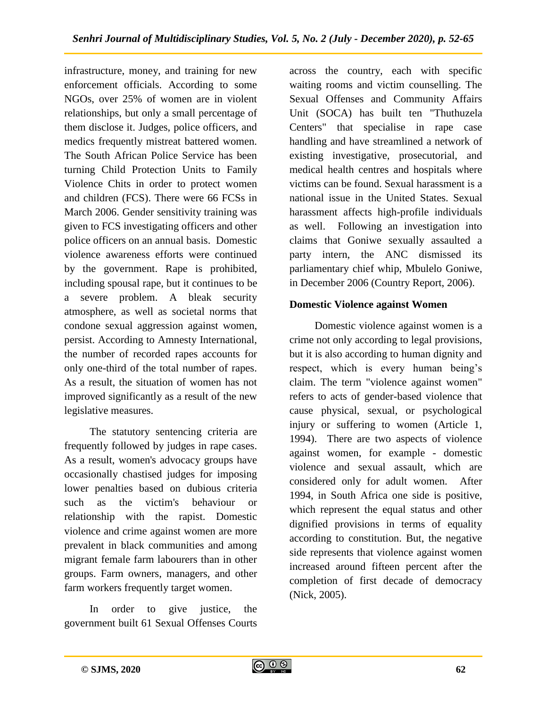infrastructure, money, and training for new enforcement officials. According to some NGOs, over 25% of women are in violent relationships, but only a small percentage of them disclose it. Judges, police officers, and medics frequently mistreat battered women. The South African Police Service has been turning Child Protection Units to Family Violence Chits in order to protect women and children (FCS). There were 66 FCSs in March 2006. Gender sensitivity training was given to FCS investigating officers and other police officers on an annual basis. Domestic violence awareness efforts were continued by the government. Rape is prohibited, including spousal rape, but it continues to be a severe problem. A bleak security atmosphere, as well as societal norms that condone sexual aggression against women, persist. According to Amnesty International, the number of recorded rapes accounts for only one-third of the total number of rapes. As a result, the situation of women has not improved significantly as a result of the new legislative measures.

The statutory sentencing criteria are frequently followed by judges in rape cases. As a result, women's advocacy groups have occasionally chastised judges for imposing lower penalties based on dubious criteria such as the victim's behaviour or relationship with the rapist. Domestic violence and crime against women are more prevalent in black communities and among migrant female farm labourers than in other groups. Farm owners, managers, and other farm workers frequently target women.

In order to give justice, the government built 61 Sexual Offenses Courts across the country, each with specific waiting rooms and victim counselling. The Sexual Offenses and Community Affairs Unit (SOCA) has built ten "Thuthuzela Centers" that specialise in rape case handling and have streamlined a network of existing investigative, prosecutorial, and medical health centres and hospitals where victims can be found. Sexual harassment is a national issue in the United States. Sexual harassment affects high-profile individuals as well. Following an investigation into claims that Goniwe sexually assaulted a party intern, the ANC dismissed its parliamentary chief whip, Mbulelo Goniwe, in December 2006 (Country Report, 2006).

#### **Domestic Violence against Women**

Domestic violence against women is a crime not only according to legal provisions, but it is also according to human dignity and respect, which is every human being's claim. The term "violence against women" refers to acts of gender-based violence that cause physical, sexual, or psychological injury or suffering to women (Article 1, 1994). There are two aspects of violence against women, for example - domestic violence and sexual assault, which are considered only for adult women. After 1994, in South Africa one side is positive, which represent the equal status and other dignified provisions in terms of equality according to constitution. But, the negative side represents that violence against women increased around fifteen percent after the completion of first decade of democracy (Nick, 2005).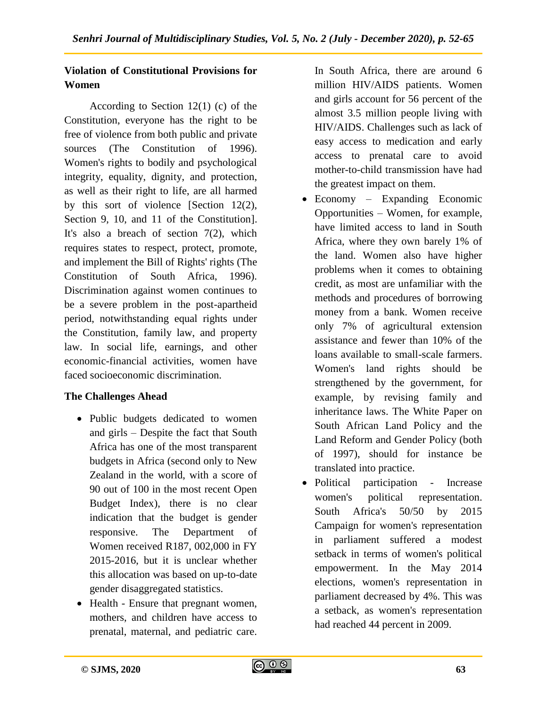## **Violation of Constitutional Provisions for Women**

According to Section  $12(1)$  (c) of the Constitution, everyone has the right to be free of violence from both public and private sources (The Constitution of 1996). Women's rights to bodily and psychological integrity, equality, dignity, and protection, as well as their right to life, are all harmed by this sort of violence [Section 12(2), Section 9, 10, and 11 of the Constitution. It's also a breach of section  $7(2)$ , which requires states to respect, protect, promote, and implement the Bill of Rights' rights (The Constitution of South Africa, 1996). Discrimination against women continues to be a severe problem in the post-apartheid period, notwithstanding equal rights under the Constitution, family law, and property law. In social life, earnings, and other economic-financial activities, women have faced socioeconomic discrimination.

## **The Challenges Ahead**

- Public budgets dedicated to women and girls – Despite the fact that South Africa has one of the most transparent budgets in Africa (second only to New Zealand in the world, with a score of 90 out of 100 in the most recent Open Budget Index), there is no clear indication that the budget is gender responsive. The Department of Women received R187, 002,000 in FY 2015-2016, but it is unclear whether this allocation was based on up-to-date gender disaggregated statistics.
- Health Ensure that pregnant women, mothers, and children have access to prenatal, maternal, and pediatric care.

In South Africa, there are around 6 million HIV/AIDS patients. Women and girls account for 56 percent of the almost 3.5 million people living with HIV/AIDS. Challenges such as lack of easy access to medication and early access to prenatal care to avoid mother-to-child transmission have had the greatest impact on them.

- Economy Expanding Economic Opportunities – Women, for example, have limited access to land in South Africa, where they own barely 1% of the land. Women also have higher problems when it comes to obtaining credit, as most are unfamiliar with the methods and procedures of borrowing money from a bank. Women receive only 7% of agricultural extension assistance and fewer than 10% of the loans available to small-scale farmers. Women's land rights should be strengthened by the government, for example, by revising family and inheritance laws. The White Paper on South African Land Policy and the Land Reform and Gender Policy (both of 1997), should for instance be translated into practice.
- Political participation Increase women's political representation. South Africa's 50/50 by 2015 Campaign for women's representation in parliament suffered a modest setback in terms of women's political empowerment. In the May 2014 elections, women's representation in parliament decreased by 4%. This was a setback, as women's representation had reached 44 percent in 2009.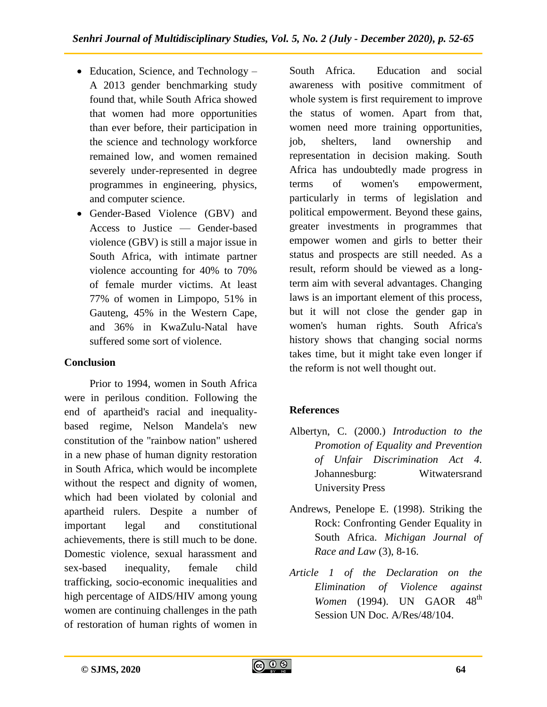- Education, Science, and Technology A 2013 gender benchmarking study found that, while South Africa showed that women had more opportunities than ever before, their participation in the science and technology workforce remained low, and women remained severely under-represented in degree programmes in engineering, physics, and computer science.
- Gender-Based Violence (GBV) and Access to Justice — Gender-based violence (GBV) is still a major issue in South Africa, with intimate partner violence accounting for 40% to 70% of female murder victims. At least 77% of women in Limpopo, 51% in Gauteng, 45% in the Western Cape, and 36% in KwaZulu-Natal have suffered some sort of violence.

## **Conclusion**

Prior to 1994, women in South Africa were in perilous condition. Following the end of apartheid's racial and inequalitybased regime, Nelson Mandela's new constitution of the "rainbow nation" ushered in a new phase of human dignity restoration in South Africa, which would be incomplete without the respect and dignity of women, which had been violated by colonial and apartheid rulers. Despite a number of important legal and constitutional achievements, there is still much to be done. Domestic violence, sexual harassment and sex-based inequality, female child trafficking, socio-economic inequalities and high percentage of AIDS/HIV among young women are continuing challenges in the path of restoration of human rights of women in

South Africa. Education and social awareness with positive commitment of whole system is first requirement to improve the status of women. Apart from that, women need more training opportunities, job, shelters, land ownership and representation in decision making. South Africa has undoubtedly made progress in terms of women's empowerment, particularly in terms of legislation and political empowerment. Beyond these gains, greater investments in programmes that empower women and girls to better their status and prospects are still needed. As a result, reform should be viewed as a longterm aim with several advantages. Changing laws is an important element of this process, but it will not close the gender gap in women's human rights. South Africa's history shows that changing social norms takes time, but it might take even longer if the reform is not well thought out.

# **References**

- Albertyn, C. (2000.) *Introduction to the Promotion of Equality and Prevention of Unfair Discrimination Act 4.* Johannesburg: Witwatersrand University Press
- Andrews, Penelope E. (1998). Striking the Rock: Confronting Gender Equality in South Africa. *Michigan Journal of Race and Law* (3), 8-16.
- *Article 1 of the Declaration on the Elimination of Violence against Women* (1994). UN GAOR 48<sup>th</sup> Session UN Doc. A/Res/48/104.